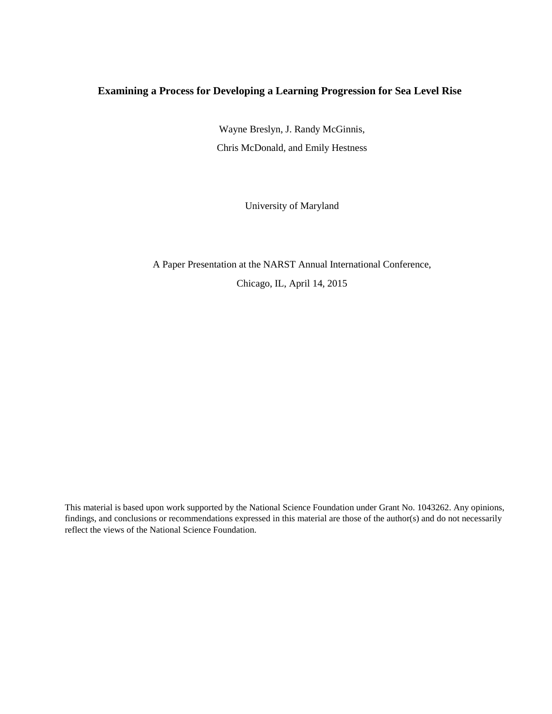## **Examining a Process for Developing a Learning Progression for Sea Level Rise**

Wayne Breslyn, J. Randy McGinnis, Chris McDonald, and Emily Hestness

University of Maryland

A Paper Presentation at the NARST Annual International Conference,

Chicago, IL, April 14, 2015

This material is based upon work supported by the National Science Foundation under Grant No. 1043262. Any opinions, findings, and conclusions or recommendations expressed in this material are those of the author(s) and do not necessarily reflect the views of the National Science Foundation.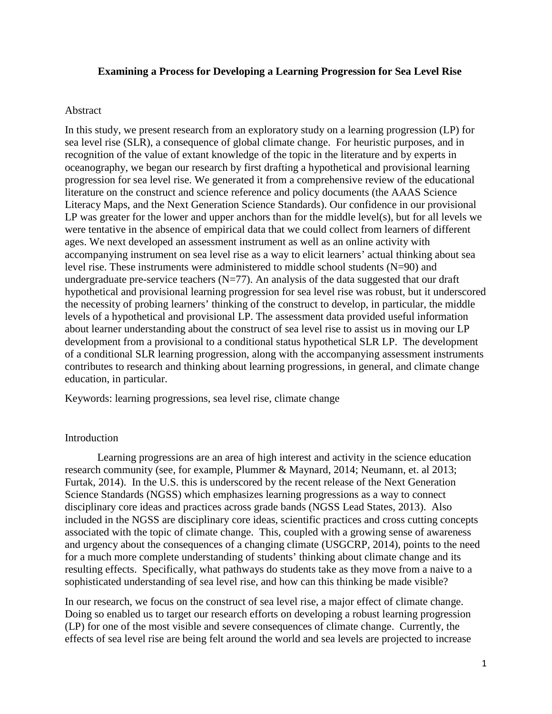#### **Examining a Process for Developing a Learning Progression for Sea Level Rise**

#### Abstract

In this study, we present research from an exploratory study on a learning progression (LP) for sea level rise (SLR), a consequence of global climate change. For heuristic purposes, and in recognition of the value of extant knowledge of the topic in the literature and by experts in oceanography, we began our research by first drafting a hypothetical and provisional learning progression for sea level rise. We generated it from a comprehensive review of the educational literature on the construct and science reference and policy documents (the AAAS Science Literacy Maps, and the Next Generation Science Standards). Our confidence in our provisional LP was greater for the lower and upper anchors than for the middle level(s), but for all levels we were tentative in the absence of empirical data that we could collect from learners of different ages. We next developed an assessment instrument as well as an online activity with accompanying instrument on sea level rise as a way to elicit learners' actual thinking about sea level rise. These instruments were administered to middle school students (N=90) and undergraduate pre-service teachers  $(N=77)$ . An analysis of the data suggested that our draft hypothetical and provisional learning progression for sea level rise was robust, but it underscored the necessity of probing learners' thinking of the construct to develop, in particular, the middle levels of a hypothetical and provisional LP. The assessment data provided useful information about learner understanding about the construct of sea level rise to assist us in moving our LP development from a provisional to a conditional status hypothetical SLR LP. The development of a conditional SLR learning progression, along with the accompanying assessment instruments contributes to research and thinking about learning progressions, in general, and climate change education, in particular.

Keywords: learning progressions, sea level rise, climate change

#### **Introduction**

Learning progressions are an area of high interest and activity in the science education research community (see, for example, Plummer & Maynard, 2014; Neumann, et. al 2013; Furtak, 2014). In the U.S. this is underscored by the recent release of the Next Generation Science Standards (NGSS) which emphasizes learning progressions as a way to connect disciplinary core ideas and practices across grade bands (NGSS Lead States, 2013). Also included in the NGSS are disciplinary core ideas, scientific practices and cross cutting concepts associated with the topic of climate change. This, coupled with a growing sense of awareness and urgency about the consequences of a changing climate (USGCRP, 2014), points to the need for a much more complete understanding of students' thinking about climate change and its resulting effects. Specifically, what pathways do students take as they move from a naive to a sophisticated understanding of sea level rise, and how can this thinking be made visible?

In our research, we focus on the construct of sea level rise, a major effect of climate change. Doing so enabled us to target our research efforts on developing a robust learning progression (LP) for one of the most visible and severe consequences of climate change. Currently, the effects of sea level rise are being felt around the world and sea levels are projected to increase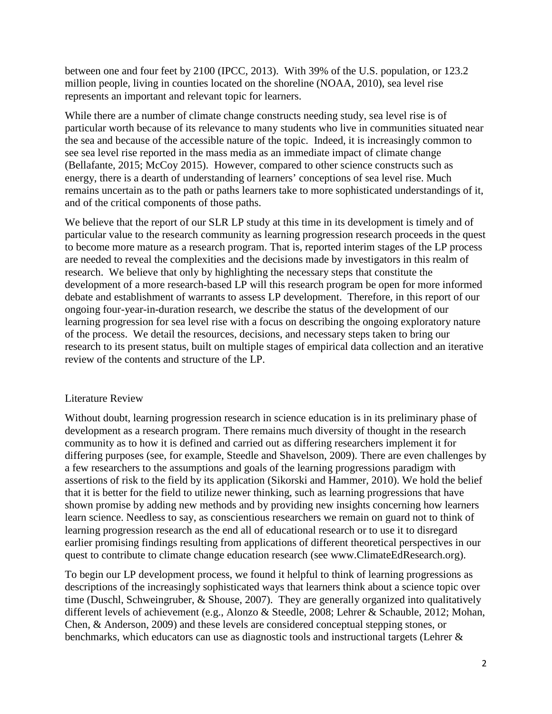between one and four feet by 2100 (IPCC, 2013). With 39% of the U.S. population, or 123.2 million people, living in counties located on the shoreline (NOAA, 2010), sea level rise represents an important and relevant topic for learners.

While there are a number of climate change constructs needing study, sea level rise is of particular worth because of its relevance to many students who live in communities situated near the sea and because of the accessible nature of the topic. Indeed, it is increasingly common to see sea level rise reported in the mass media as an immediate impact of climate change (Bellafante, 2015; McCoy 2015). However, compared to other science constructs such as energy, there is a dearth of understanding of learners' conceptions of sea level rise. Much remains uncertain as to the path or paths learners take to more sophisticated understandings of it, and of the critical components of those paths.

We believe that the report of our SLR LP study at this time in its development is timely and of particular value to the research community as learning progression research proceeds in the quest to become more mature as a research program. That is, reported interim stages of the LP process are needed to reveal the complexities and the decisions made by investigators in this realm of research. We believe that only by highlighting the necessary steps that constitute the development of a more research-based LP will this research program be open for more informed debate and establishment of warrants to assess LP development. Therefore, in this report of our ongoing four-year-in-duration research, we describe the status of the development of our learning progression for sea level rise with a focus on describing the ongoing exploratory nature of the process. We detail the resources, decisions, and necessary steps taken to bring our research to its present status, built on multiple stages of empirical data collection and an iterative review of the contents and structure of the LP.

#### Literature Review

Without doubt, learning progression research in science education is in its preliminary phase of development as a research program. There remains much diversity of thought in the research community as to how it is defined and carried out as differing researchers implement it for differing purposes (see, for example, Steedle and Shavelson, 2009). There are even challenges by a few researchers to the assumptions and goals of the learning progressions paradigm with assertions of risk to the field by its application (Sikorski and Hammer, 2010). We hold the belief that it is better for the field to utilize newer thinking, such as learning progressions that have shown promise by adding new methods and by providing new insights concerning how learners learn science. Needless to say, as conscientious researchers we remain on guard not to think of learning progression research as the end all of educational research or to use it to disregard earlier promising findings resulting from applications of different theoretical perspectives in our quest to contribute to climate change education research (see www.ClimateEdResearch.org).

To begin our LP development process, we found it helpful to think of learning progressions as descriptions of the increasingly sophisticated ways that learners think about a science topic over time (Duschl, Schweingruber, & Shouse, 2007). They are generally organized into qualitatively different levels of achievement (e.g., Alonzo & Steedle, 2008; Lehrer & Schauble, 2012; Mohan, Chen, & Anderson, 2009) and these levels are considered conceptual stepping stones, or benchmarks, which educators can use as diagnostic tools and instructional targets (Lehrer &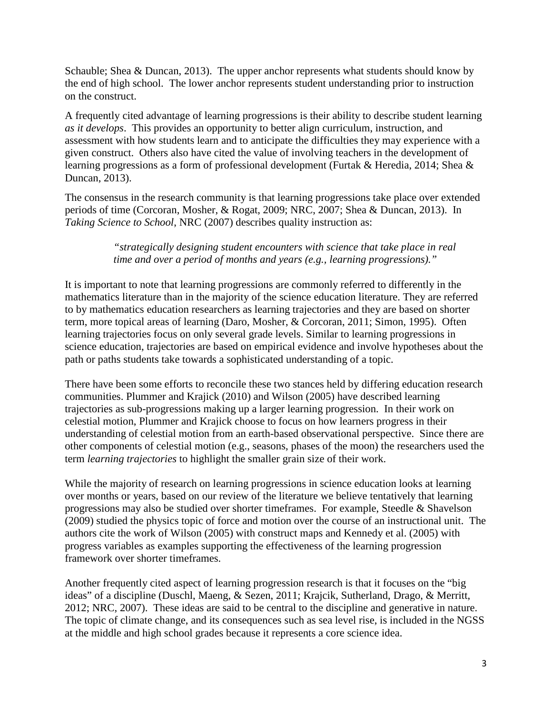Schauble; Shea & Duncan, 2013). The upper anchor represents what students should know by the end of high school. The lower anchor represents student understanding prior to instruction on the construct.

A frequently cited advantage of learning progressions is their ability to describe student learning *as it develops*. This provides an opportunity to better align curriculum, instruction, and assessment with how students learn and to anticipate the difficulties they may experience with a given construct. Others also have cited the value of involving teachers in the development of learning progressions as a form of professional development (Furtak & Heredia, 2014; Shea & Duncan, 2013).

The consensus in the research community is that learning progressions take place over extended periods of time (Corcoran, Mosher, & Rogat, 2009; NRC, 2007; Shea & Duncan, 2013). In *Taking Science to School*, NRC (2007) describes quality instruction as:

## *"strategically designing student encounters with science that take place in real time and over a period of months and years (e.g., learning progressions)."*

It is important to note that learning progressions are commonly referred to differently in the mathematics literature than in the majority of the science education literature. They are referred to by mathematics education researchers as learning trajectories and they are based on shorter term, more topical areas of learning (Daro, Mosher, & Corcoran, 2011; Simon, 1995). Often learning trajectories focus on only several grade levels. Similar to learning progressions in science education, trajectories are based on empirical evidence and involve hypotheses about the path or paths students take towards a sophisticated understanding of a topic.

There have been some efforts to reconcile these two stances held by differing education research communities. Plummer and Krajick (2010) and Wilson (2005) have described learning trajectories as sub-progressions making up a larger learning progression. In their work on celestial motion, Plummer and Krajick choose to focus on how learners progress in their understanding of celestial motion from an earth-based observational perspective. Since there are other components of celestial motion (e.g., seasons, phases of the moon) the researchers used the term *learning trajectories* to highlight the smaller grain size of their work.

While the majority of research on learning progressions in science education looks at learning over months or years, based on our review of the literature we believe tentatively that learning progressions may also be studied over shorter timeframes. For example, Steedle & Shavelson (2009) studied the physics topic of force and motion over the course of an instructional unit. The authors cite the work of Wilson (2005) with construct maps and Kennedy et al. (2005) with progress variables as examples supporting the effectiveness of the learning progression framework over shorter timeframes.

Another frequently cited aspect of learning progression research is that it focuses on the "big ideas" of a discipline (Duschl, Maeng, & Sezen, 2011; Krajcik, Sutherland, Drago, & Merritt, 2012; NRC, 2007). These ideas are said to be central to the discipline and generative in nature. The topic of climate change, and its consequences such as sea level rise, is included in the NGSS at the middle and high school grades because it represents a core science idea.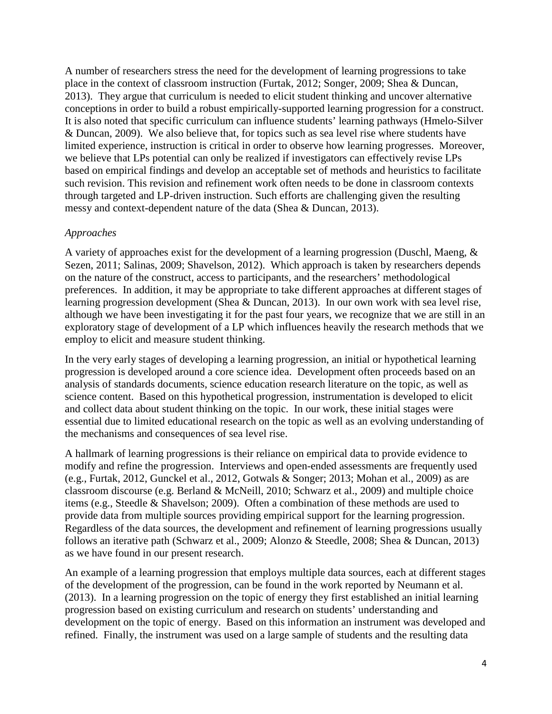A number of researchers stress the need for the development of learning progressions to take place in the context of classroom instruction (Furtak, 2012; Songer, 2009; Shea & Duncan, 2013). They argue that curriculum is needed to elicit student thinking and uncover alternative conceptions in order to build a robust empirically-supported learning progression for a construct. It is also noted that specific curriculum can influence students' learning pathways (Hmelo-Silver & Duncan, 2009). We also believe that, for topics such as sea level rise where students have limited experience, instruction is critical in order to observe how learning progresses. Moreover, we believe that LPs potential can only be realized if investigators can effectively revise LPs based on empirical findings and develop an acceptable set of methods and heuristics to facilitate such revision. This revision and refinement work often needs to be done in classroom contexts through targeted and LP-driven instruction. Such efforts are challenging given the resulting messy and context-dependent nature of the data (Shea & Duncan, 2013).

#### *Approaches*

A variety of approaches exist for the development of a learning progression (Duschl, Maeng, & Sezen, 2011; Salinas, 2009; Shavelson, 2012). Which approach is taken by researchers depends on the nature of the construct, access to participants, and the researchers' methodological preferences. In addition, it may be appropriate to take different approaches at different stages of learning progression development (Shea & Duncan, 2013). In our own work with sea level rise, although we have been investigating it for the past four years, we recognize that we are still in an exploratory stage of development of a LP which influences heavily the research methods that we employ to elicit and measure student thinking.

In the very early stages of developing a learning progression, an initial or hypothetical learning progression is developed around a core science idea. Development often proceeds based on an analysis of standards documents, science education research literature on the topic, as well as science content. Based on this hypothetical progression, instrumentation is developed to elicit and collect data about student thinking on the topic. In our work, these initial stages were essential due to limited educational research on the topic as well as an evolving understanding of the mechanisms and consequences of sea level rise.

A hallmark of learning progressions is their reliance on empirical data to provide evidence to modify and refine the progression. Interviews and open-ended assessments are frequently used (e.g., Furtak, 2012, Gunckel et al., 2012, Gotwals & Songer; 2013; Mohan et al., 2009) as are classroom discourse (e.g. Berland & McNeill, 2010; Schwarz et al., 2009) and multiple choice items (e.g., Steedle & Shavelson; 2009). Often a combination of these methods are used to provide data from multiple sources providing empirical support for the learning progression. Regardless of the data sources, the development and refinement of learning progressions usually follows an iterative path (Schwarz et al., 2009; Alonzo & Steedle, 2008; Shea & Duncan, 2013) as we have found in our present research.

An example of a learning progression that employs multiple data sources, each at different stages of the development of the progression, can be found in the work reported by Neumann et al. (2013). In a learning progression on the topic of energy they first established an initial learning progression based on existing curriculum and research on students' understanding and development on the topic of energy. Based on this information an instrument was developed and refined. Finally, the instrument was used on a large sample of students and the resulting data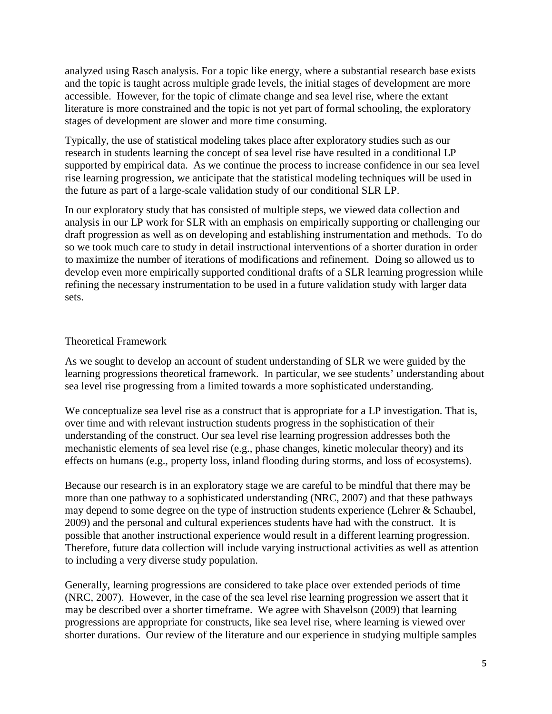analyzed using Rasch analysis. For a topic like energy, where a substantial research base exists and the topic is taught across multiple grade levels, the initial stages of development are more accessible. However, for the topic of climate change and sea level rise, where the extant literature is more constrained and the topic is not yet part of formal schooling, the exploratory stages of development are slower and more time consuming.

Typically, the use of statistical modeling takes place after exploratory studies such as our research in students learning the concept of sea level rise have resulted in a conditional LP supported by empirical data. As we continue the process to increase confidence in our sea level rise learning progression, we anticipate that the statistical modeling techniques will be used in the future as part of a large-scale validation study of our conditional SLR LP.

In our exploratory study that has consisted of multiple steps, we viewed data collection and analysis in our LP work for SLR with an emphasis on empirically supporting or challenging our draft progression as well as on developing and establishing instrumentation and methods. To do so we took much care to study in detail instructional interventions of a shorter duration in order to maximize the number of iterations of modifications and refinement. Doing so allowed us to develop even more empirically supported conditional drafts of a SLR learning progression while refining the necessary instrumentation to be used in a future validation study with larger data sets.

# Theoretical Framework

As we sought to develop an account of student understanding of SLR we were guided by the learning progressions theoretical framework. In particular, we see students' understanding about sea level rise progressing from a limited towards a more sophisticated understanding.

We conceptualize sea level rise as a construct that is appropriate for a LP investigation. That is, over time and with relevant instruction students progress in the sophistication of their understanding of the construct. Our sea level rise learning progression addresses both the mechanistic elements of sea level rise (e.g., phase changes, kinetic molecular theory) and its effects on humans (e.g., property loss, inland flooding during storms, and loss of ecosystems).

Because our research is in an exploratory stage we are careful to be mindful that there may be more than one pathway to a sophisticated understanding (NRC, 2007) and that these pathways may depend to some degree on the type of instruction students experience (Lehrer & Schaubel, 2009) and the personal and cultural experiences students have had with the construct. It is possible that another instructional experience would result in a different learning progression. Therefore, future data collection will include varying instructional activities as well as attention to including a very diverse study population.

Generally, learning progressions are considered to take place over extended periods of time (NRC, 2007). However, in the case of the sea level rise learning progression we assert that it may be described over a shorter timeframe. We agree with Shavelson (2009) that learning progressions are appropriate for constructs, like sea level rise, where learning is viewed over shorter durations. Our review of the literature and our experience in studying multiple samples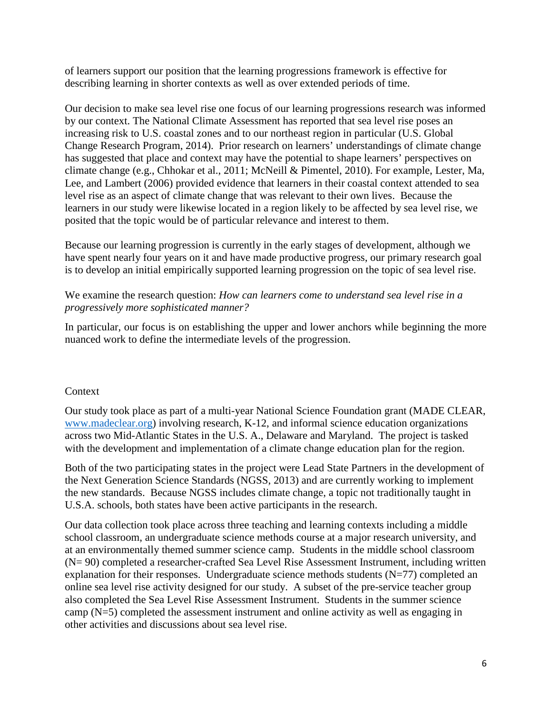of learners support our position that the learning progressions framework is effective for describing learning in shorter contexts as well as over extended periods of time.

Our decision to make sea level rise one focus of our learning progressions research was informed by our context. The National Climate Assessment has reported that sea level rise poses an increasing risk to U.S. coastal zones and to our northeast region in particular (U.S. Global Change Research Program, 2014). Prior research on learners' understandings of climate change has suggested that place and context may have the potential to shape learners' perspectives on climate change (e.g., Chhokar et al., 2011; McNeill & Pimentel, 2010). For example, Lester, Ma, Lee, and Lambert (2006) provided evidence that learners in their coastal context attended to sea level rise as an aspect of climate change that was relevant to their own lives. Because the learners in our study were likewise located in a region likely to be affected by sea level rise, we posited that the topic would be of particular relevance and interest to them.

Because our learning progression is currently in the early stages of development, although we have spent nearly four years on it and have made productive progress, our primary research goal is to develop an initial empirically supported learning progression on the topic of sea level rise.

#### We examine the research question: *How can learners come to understand sea level rise in a progressively more sophisticated manner?*

In particular, our focus is on establishing the upper and lower anchors while beginning the more nuanced work to define the intermediate levels of the progression.

#### Context

Our study took place as part of a multi-year National Science Foundation grant (MADE CLEAR, [www.madeclear.org\)](http://www.madeclear.org/) involving research, K-12, and informal science education organizations across two Mid-Atlantic States in the U.S. A., Delaware and Maryland. The project is tasked with the development and implementation of a climate change education plan for the region.

Both of the two participating states in the project were Lead State Partners in the development of the Next Generation Science Standards (NGSS, 2013) and are currently working to implement the new standards. Because NGSS includes climate change, a topic not traditionally taught in U.S.A. schools, both states have been active participants in the research.

Our data collection took place across three teaching and learning contexts including a middle school classroom, an undergraduate science methods course at a major research university, and at an environmentally themed summer science camp. Students in the middle school classroom (N= 90) completed a researcher-crafted Sea Level Rise Assessment Instrument, including written explanation for their responses. Undergraduate science methods students  $(N=77)$  completed an online sea level rise activity designed for our study. A subset of the pre-service teacher group also completed the Sea Level Rise Assessment Instrument. Students in the summer science camp (N=5) completed the assessment instrument and online activity as well as engaging in other activities and discussions about sea level rise.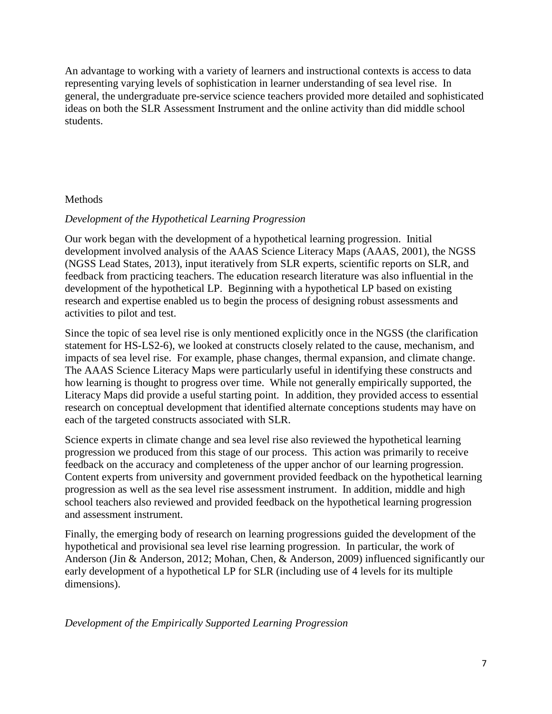An advantage to working with a variety of learners and instructional contexts is access to data representing varying levels of sophistication in learner understanding of sea level rise. In general, the undergraduate pre-service science teachers provided more detailed and sophisticated ideas on both the SLR Assessment Instrument and the online activity than did middle school students.

#### Methods

#### *Development of the Hypothetical Learning Progression*

Our work began with the development of a hypothetical learning progression. Initial development involved analysis of the AAAS Science Literacy Maps (AAAS, 2001), the NGSS (NGSS Lead States, 2013), input iteratively from SLR experts, scientific reports on SLR, and feedback from practicing teachers. The education research literature was also influential in the development of the hypothetical LP. Beginning with a hypothetical LP based on existing research and expertise enabled us to begin the process of designing robust assessments and activities to pilot and test.

Since the topic of sea level rise is only mentioned explicitly once in the NGSS (the clarification statement for HS-LS2-6), we looked at constructs closely related to the cause, mechanism, and impacts of sea level rise. For example, phase changes, thermal expansion, and climate change. The AAAS Science Literacy Maps were particularly useful in identifying these constructs and how learning is thought to progress over time. While not generally empirically supported, the Literacy Maps did provide a useful starting point. In addition, they provided access to essential research on conceptual development that identified alternate conceptions students may have on each of the targeted constructs associated with SLR.

Science experts in climate change and sea level rise also reviewed the hypothetical learning progression we produced from this stage of our process. This action was primarily to receive feedback on the accuracy and completeness of the upper anchor of our learning progression. Content experts from university and government provided feedback on the hypothetical learning progression as well as the sea level rise assessment instrument. In addition, middle and high school teachers also reviewed and provided feedback on the hypothetical learning progression and assessment instrument.

Finally, the emerging body of research on learning progressions guided the development of the hypothetical and provisional sea level rise learning progression. In particular, the work of Anderson (Jin & Anderson, 2012; Mohan, Chen, & Anderson, 2009) influenced significantly our early development of a hypothetical LP for SLR (including use of 4 levels for its multiple dimensions).

*Development of the Empirically Supported Learning Progression*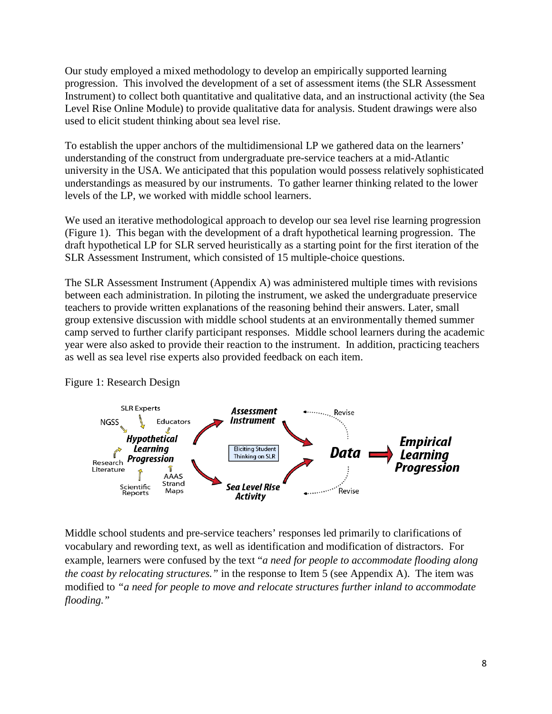Our study employed a mixed methodology to develop an empirically supported learning progression. This involved the development of a set of assessment items (the SLR Assessment Instrument) to collect both quantitative and qualitative data, and an instructional activity (the Sea Level Rise Online Module) to provide qualitative data for analysis. Student drawings were also used to elicit student thinking about sea level rise.

To establish the upper anchors of the multidimensional LP we gathered data on the learners' understanding of the construct from undergraduate pre-service teachers at a mid-Atlantic university in the USA. We anticipated that this population would possess relatively sophisticated understandings as measured by our instruments. To gather learner thinking related to the lower levels of the LP, we worked with middle school learners.

We used an iterative methodological approach to develop our sea level rise learning progression (Figure 1). This began with the development of a draft hypothetical learning progression. The draft hypothetical LP for SLR served heuristically as a starting point for the first iteration of the SLR Assessment Instrument, which consisted of 15 multiple-choice questions.

The SLR Assessment Instrument (Appendix A) was administered multiple times with revisions between each administration. In piloting the instrument, we asked the undergraduate preservice teachers to provide written explanations of the reasoning behind their answers. Later, small group extensive discussion with middle school students at an environmentally themed summer camp served to further clarify participant responses. Middle school learners during the academic year were also asked to provide their reaction to the instrument. In addition, practicing teachers as well as sea level rise experts also provided feedback on each item.



# Figure 1: Research Design

Middle school students and pre-service teachers' responses led primarily to clarifications of vocabulary and rewording text, as well as identification and modification of distractors. For example, learners were confused by the text "*a need for people to accommodate flooding along the coast by relocating structures."* in the response to Item 5 (see Appendix A). The item was modified to *"a need for people to move and relocate structures further inland to accommodate flooding."*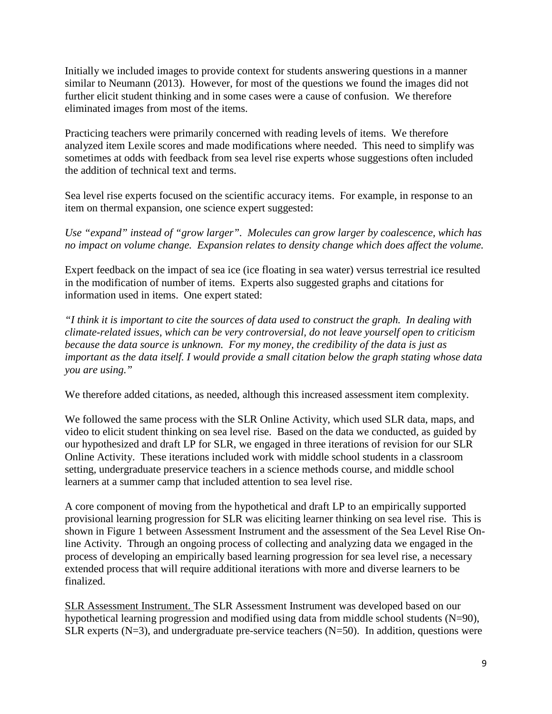Initially we included images to provide context for students answering questions in a manner similar to Neumann (2013). However, for most of the questions we found the images did not further elicit student thinking and in some cases were a cause of confusion. We therefore eliminated images from most of the items.

Practicing teachers were primarily concerned with reading levels of items. We therefore analyzed item Lexile scores and made modifications where needed. This need to simplify was sometimes at odds with feedback from sea level rise experts whose suggestions often included the addition of technical text and terms.

Sea level rise experts focused on the scientific accuracy items. For example, in response to an item on thermal expansion, one science expert suggested:

*Use "expand" instead of "grow larger". Molecules can grow larger by coalescence, which has no impact on volume change. Expansion relates to density change which does affect the volume.* 

Expert feedback on the impact of sea ice (ice floating in sea water) versus terrestrial ice resulted in the modification of number of items. Experts also suggested graphs and citations for information used in items. One expert stated:

*"I think it is important to cite the sources of data used to construct the graph. In dealing with climate-related issues, which can be very controversial, do not leave yourself open to criticism because the data source is unknown. For my money, the credibility of the data is just as important as the data itself. I would provide a small citation below the graph stating whose data you are using."*

We therefore added citations, as needed, although this increased assessment item complexity.

We followed the same process with the SLR Online Activity, which used SLR data, maps, and video to elicit student thinking on sea level rise. Based on the data we conducted, as guided by our hypothesized and draft LP for SLR, we engaged in three iterations of revision for our SLR Online Activity. These iterations included work with middle school students in a classroom setting, undergraduate preservice teachers in a science methods course, and middle school learners at a summer camp that included attention to sea level rise.

A core component of moving from the hypothetical and draft LP to an empirically supported provisional learning progression for SLR was eliciting learner thinking on sea level rise. This is shown in Figure 1 between Assessment Instrument and the assessment of the Sea Level Rise Online Activity. Through an ongoing process of collecting and analyzing data we engaged in the process of developing an empirically based learning progression for sea level rise, a necessary extended process that will require additional iterations with more and diverse learners to be finalized.

SLR Assessment Instrument. The SLR Assessment Instrument was developed based on our hypothetical learning progression and modified using data from middle school students (N=90), SLR experts (N=3), and undergraduate pre-service teachers (N=50). In addition, questions were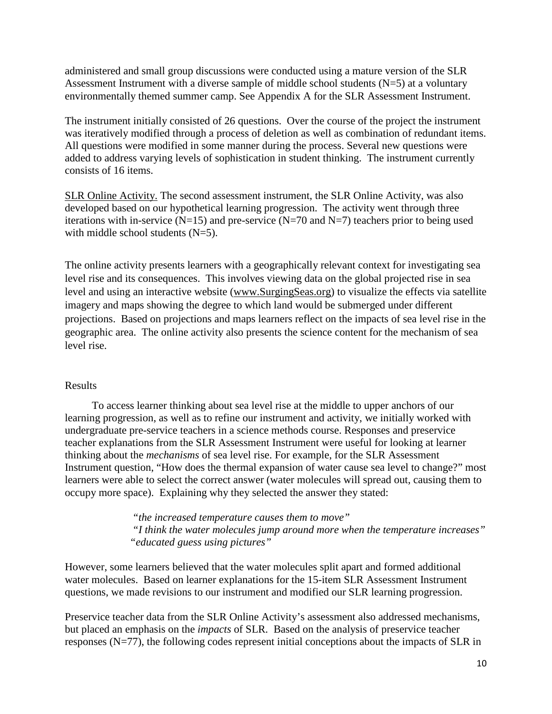administered and small group discussions were conducted using a mature version of the SLR Assessment Instrument with a diverse sample of middle school students  $(N=5)$  at a voluntary environmentally themed summer camp. See Appendix A for the SLR Assessment Instrument.

The instrument initially consisted of 26 questions. Over the course of the project the instrument was iteratively modified through a process of deletion as well as combination of redundant items. All questions were modified in some manner during the process. Several new questions were added to address varying levels of sophistication in student thinking. The instrument currently consists of 16 items.

SLR Online Activity. The second assessment instrument, the SLR Online Activity, was also developed based on our hypothetical learning progression. The activity went through three iterations with in-service ( $N=15$ ) and pre-service ( $N=70$  and  $N=7$ ) teachers prior to being used with middle school students (N=5).

The online activity presents learners with a geographically relevant context for investigating sea level rise and its consequences. This involves viewing data on the global projected rise in sea level and using an interactive website [\(www.SurgingSeas.org\)](http://www.surgingseas.org/) to visualize the effects via satellite imagery and maps showing the degree to which land would be submerged under different projections. Based on projections and maps learners reflect on the impacts of sea level rise in the geographic area. The online activity also presents the science content for the mechanism of sea level rise.

# Results

 To access learner thinking about sea level rise at the middle to upper anchors of our learning progression, as well as to refine our instrument and activity, we initially worked with undergraduate pre-service teachers in a science methods course. Responses and preservice teacher explanations from the SLR Assessment Instrument were useful for looking at learner thinking about the *mechanisms* of sea level rise. For example, for the SLR Assessment Instrument question, "How does the thermal expansion of water cause sea level to change?" most learners were able to select the correct answer (water molecules will spread out, causing them to occupy more space). Explaining why they selected the answer they stated:

> *"the increased temperature causes them to move" "I think the water molecules jump around more when the temperature increases" "educated guess using pictures"*

However, some learners believed that the water molecules split apart and formed additional water molecules. Based on learner explanations for the 15-item SLR Assessment Instrument questions, we made revisions to our instrument and modified our SLR learning progression.

Preservice teacher data from the SLR Online Activity's assessment also addressed mechanisms, but placed an emphasis on the *impacts* of SLR. Based on the analysis of preservice teacher responses (N=77), the following codes represent initial conceptions about the impacts of SLR in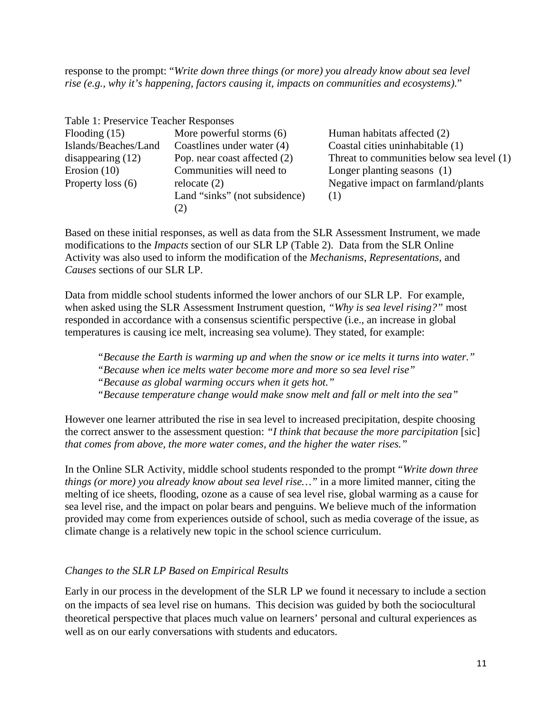response to the prompt: "*Write down three things (or more) you already know about sea level rise (e.g., why it's happening, factors causing it, impacts on communities and ecosystems).*"

| Table 1: Preservice Teacher Responses |                                           |
|---------------------------------------|-------------------------------------------|
| More powerful storms $(6)$            | Human habitats affected (2)               |
| Coastlines under water (4)            | Coastal cities uninhabitable (1)          |
| Pop. near coast affected (2)          | Threat to communities below sea level (1) |
| Communities will need to              | Longer planting seasons (1)               |
| relocate $(2)$                        | Negative impact on farmland/plants        |
| Land "sinks" (not subsidence)<br>(2)  | (1)                                       |
|                                       |                                           |

Based on these initial responses, as well as data from the SLR Assessment Instrument, we made modifications to the *Impacts* section of our SLR LP (Table 2). Data from the SLR Online Activity was also used to inform the modification of the *Mechanisms*, *Representations*, and *Causes* sections of our SLR LP.

Data from middle school students informed the lower anchors of our SLR LP. For example, when asked using the SLR Assessment Instrument question, *"Why is sea level rising?"* most responded in accordance with a consensus scientific perspective (i.e., an increase in global temperatures is causing ice melt, increasing sea volume). They stated, for example:

*"Because the Earth is warming up and when the snow or ice melts it turns into water."*

*"Because when ice melts water become more and more so sea level rise"*

*"Because as global warming occurs when it gets hot."*

*"Because temperature change would make snow melt and fall or melt into the sea"*

However one learner attributed the rise in sea level to increased precipitation, despite choosing the correct answer to the assessment question: *"I think that because the more parcipitation* [sic] *that comes from above, the more water comes, and the higher the water rises."*

In the Online SLR Activity, middle school students responded to the prompt "*Write down three things (or more) you already know about sea level rise…"* in a more limited manner, citing the melting of ice sheets, flooding, ozone as a cause of sea level rise, global warming as a cause for sea level rise, and the impact on polar bears and penguins. We believe much of the information provided may come from experiences outside of school, such as media coverage of the issue, as climate change is a relatively new topic in the school science curriculum.

#### *Changes to the SLR LP Based on Empirical Results*

Early in our process in the development of the SLR LP we found it necessary to include a section on the impacts of sea level rise on humans. This decision was guided by both the sociocultural theoretical perspective that places much value on learners' personal and cultural experiences as well as on our early conversations with students and educators.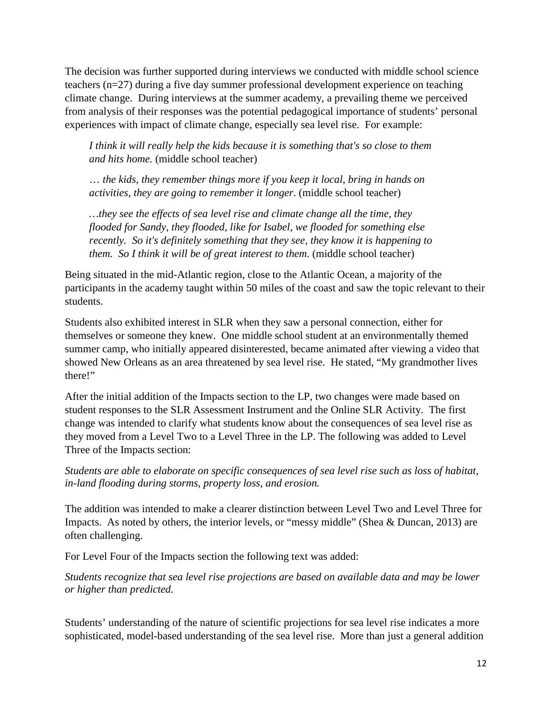The decision was further supported during interviews we conducted with middle school science teachers (n=27) during a five day summer professional development experience on teaching climate change. During interviews at the summer academy, a prevailing theme we perceived from analysis of their responses was the potential pedagogical importance of students' personal experiences with impact of climate change, especially sea level rise. For example:

*I think it will really help the kids because it is something that's so close to them and hits home.* (middle school teacher)

… *the kids, they remember things more if you keep it local, bring in hands on activities, they are going to remember it longer*. (middle school teacher)

*…they see the effects of sea level rise and climate change all the time, they flooded for Sandy, they flooded, like for Isabel, we flooded for something else recently. So it's definitely something that they see, they know it is happening to them. So I think it will be of great interest to them.* (middle school teacher)

Being situated in the mid-Atlantic region, close to the Atlantic Ocean, a majority of the participants in the academy taught within 50 miles of the coast and saw the topic relevant to their students.

Students also exhibited interest in SLR when they saw a personal connection, either for themselves or someone they knew. One middle school student at an environmentally themed summer camp, who initially appeared disinterested, became animated after viewing a video that showed New Orleans as an area threatened by sea level rise. He stated, "My grandmother lives there!"

After the initial addition of the Impacts section to the LP, two changes were made based on student responses to the SLR Assessment Instrument and the Online SLR Activity. The first change was intended to clarify what students know about the consequences of sea level rise as they moved from a Level Two to a Level Three in the LP. The following was added to Level Three of the Impacts section:

*Students are able to elaborate on specific consequences of sea level rise such as loss of habitat, in-land flooding during storms, property loss, and erosion.*

The addition was intended to make a clearer distinction between Level Two and Level Three for Impacts. As noted by others, the interior levels, or "messy middle" (Shea & Duncan, 2013) are often challenging.

For Level Four of the Impacts section the following text was added:

*Students recognize that sea level rise projections are based on available data and may be lower or higher than predicted.*

Students' understanding of the nature of scientific projections for sea level rise indicates a more sophisticated, model-based understanding of the sea level rise. More than just a general addition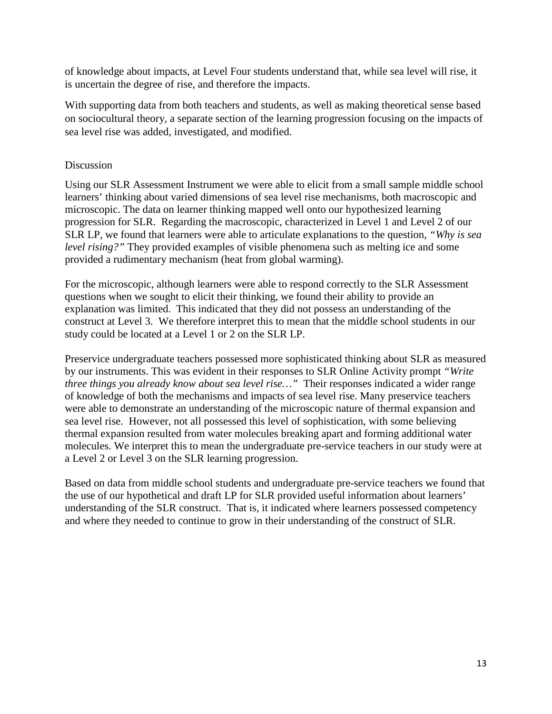of knowledge about impacts, at Level Four students understand that, while sea level will rise, it is uncertain the degree of rise, and therefore the impacts.

With supporting data from both teachers and students, as well as making theoretical sense based on sociocultural theory, a separate section of the learning progression focusing on the impacts of sea level rise was added, investigated, and modified.

## Discussion

Using our SLR Assessment Instrument we were able to elicit from a small sample middle school learners' thinking about varied dimensions of sea level rise mechanisms, both macroscopic and microscopic. The data on learner thinking mapped well onto our hypothesized learning progression for SLR. Regarding the macroscopic, characterized in Level 1 and Level 2 of our SLR LP, we found that learners were able to articulate explanations to the question, *"Why is sea level rising?"* They provided examples of visible phenomena such as melting ice and some provided a rudimentary mechanism (heat from global warming).

For the microscopic, although learners were able to respond correctly to the SLR Assessment questions when we sought to elicit their thinking, we found their ability to provide an explanation was limited. This indicated that they did not possess an understanding of the construct at Level 3. We therefore interpret this to mean that the middle school students in our study could be located at a Level 1 or 2 on the SLR LP.

Preservice undergraduate teachers possessed more sophisticated thinking about SLR as measured by our instruments. This was evident in their responses to SLR Online Activity prompt *"Write three things you already know about sea level rise…"* Their responses indicated a wider range of knowledge of both the mechanisms and impacts of sea level rise. Many preservice teachers were able to demonstrate an understanding of the microscopic nature of thermal expansion and sea level rise. However, not all possessed this level of sophistication, with some believing thermal expansion resulted from water molecules breaking apart and forming additional water molecules. We interpret this to mean the undergraduate pre-service teachers in our study were at a Level 2 or Level 3 on the SLR learning progression.

Based on data from middle school students and undergraduate pre-service teachers we found that the use of our hypothetical and draft LP for SLR provided useful information about learners' understanding of the SLR construct. That is, it indicated where learners possessed competency and where they needed to continue to grow in their understanding of the construct of SLR.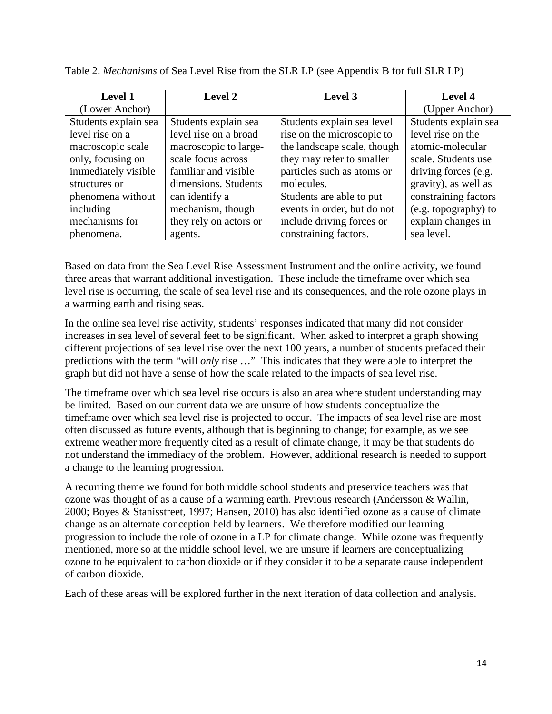| <b>Level 1</b>       | Level 2                | Level 3                     | Level 4              |
|----------------------|------------------------|-----------------------------|----------------------|
| (Lower Anchor)       |                        |                             | (Upper Anchor)       |
| Students explain sea | Students explain sea   | Students explain sea level  | Students explain sea |
| level rise on a      | level rise on a broad  | rise on the microscopic to  | level rise on the    |
| macroscopic scale    | macroscopic to large-  | the landscape scale, though | atomic-molecular     |
| only, focusing on    | scale focus across     | they may refer to smaller   | scale. Students use  |
| immediately visible  | familiar and visible   | particles such as atoms or  | driving forces (e.g. |
| structures or        | dimensions. Students   | molecules.                  | gravity), as well as |
| phenomena without    | can identify a         | Students are able to put    | constraining factors |
| including            | mechanism, though      | events in order, but do not | (e.g. topography) to |
| mechanisms for       | they rely on actors or | include driving forces or   | explain changes in   |
| phenomena.           | agents.                | constraining factors.       | sea level.           |

Table 2. *Mechanisms* of Sea Level Rise from the SLR LP (see Appendix B for full SLR LP)

Based on data from the Sea Level Rise Assessment Instrument and the online activity, we found three areas that warrant additional investigation. These include the timeframe over which sea level rise is occurring, the scale of sea level rise and its consequences, and the role ozone plays in a warming earth and rising seas.

In the online sea level rise activity, students' responses indicated that many did not consider increases in sea level of several feet to be significant. When asked to interpret a graph showing different projections of sea level rise over the next 100 years, a number of students prefaced their predictions with the term "will *only* rise …" This indicates that they were able to interpret the graph but did not have a sense of how the scale related to the impacts of sea level rise.

The timeframe over which sea level rise occurs is also an area where student understanding may be limited. Based on our current data we are unsure of how students conceptualize the timeframe over which sea level rise is projected to occur. The impacts of sea level rise are most often discussed as future events, although that is beginning to change; for example, as we see extreme weather more frequently cited as a result of climate change, it may be that students do not understand the immediacy of the problem. However, additional research is needed to support a change to the learning progression.

A recurring theme we found for both middle school students and preservice teachers was that ozone was thought of as a cause of a warming earth. Previous research (Andersson & Wallin, 2000; Boyes & Stanisstreet, 1997; Hansen, 2010) has also identified ozone as a cause of climate change as an alternate conception held by learners. We therefore modified our learning progression to include the role of ozone in a LP for climate change. While ozone was frequently mentioned, more so at the middle school level, we are unsure if learners are conceptualizing ozone to be equivalent to carbon dioxide or if they consider it to be a separate cause independent of carbon dioxide.

Each of these areas will be explored further in the next iteration of data collection and analysis.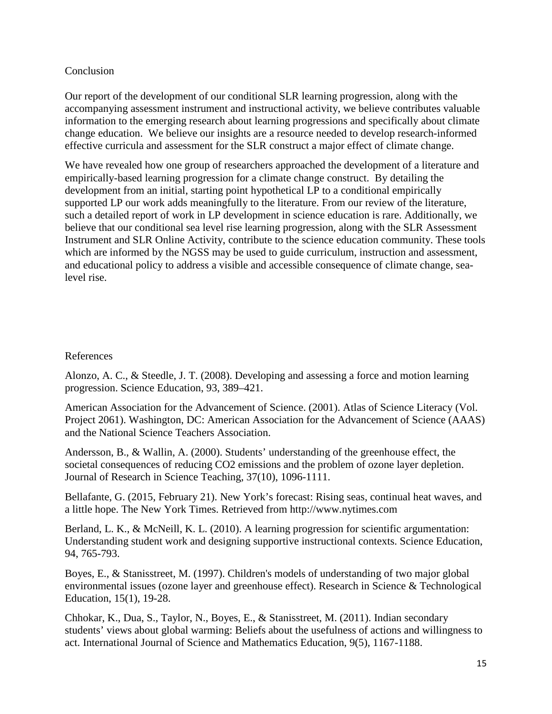#### **Conclusion**

Our report of the development of our conditional SLR learning progression, along with the accompanying assessment instrument and instructional activity, we believe contributes valuable information to the emerging research about learning progressions and specifically about climate change education. We believe our insights are a resource needed to develop research-informed effective curricula and assessment for the SLR construct a major effect of climate change.

We have revealed how one group of researchers approached the development of a literature and empirically-based learning progression for a climate change construct. By detailing the development from an initial, starting point hypothetical LP to a conditional empirically supported LP our work adds meaningfully to the literature. From our review of the literature, such a detailed report of work in LP development in science education is rare. Additionally, we believe that our conditional sea level rise learning progression, along with the SLR Assessment Instrument and SLR Online Activity, contribute to the science education community. These tools which are informed by the NGSS may be used to guide curriculum, instruction and assessment, and educational policy to address a visible and accessible consequence of climate change, sealevel rise.

## References

Alonzo, A. C., & Steedle, J. T. (2008). Developing and assessing a force and motion learning progression. Science Education, 93, 389–421.

American Association for the Advancement of Science. (2001). Atlas of Science Literacy (Vol. Project 2061). Washington, DC: American Association for the Advancement of Science (AAAS) and the National Science Teachers Association.

Andersson, B., & Wallin, A. (2000). Students' understanding of the greenhouse effect, the societal consequences of reducing CO2 emissions and the problem of ozone layer depletion. Journal of Research in Science Teaching, 37(10), 1096-1111.

Bellafante, G. (2015, February 21). New York's forecast: Rising seas, continual heat waves, and a little hope. The New York Times. Retrieved from http://www.nytimes.com

Berland, L. K., & McNeill, K. L. (2010). A learning progression for scientific argumentation: Understanding student work and designing supportive instructional contexts. Science Education, 94, 765-793.

Boyes, E., & Stanisstreet, M. (1997). Children's models of understanding of two major global environmental issues (ozone layer and greenhouse effect). Research in Science & Technological Education, 15(1), 19-28.

Chhokar, K., Dua, S., Taylor, N., Boyes, E., & Stanisstreet, M. (2011). Indian secondary students' views about global warming: Beliefs about the usefulness of actions and willingness to act. International Journal of Science and Mathematics Education, 9(5), 1167-1188.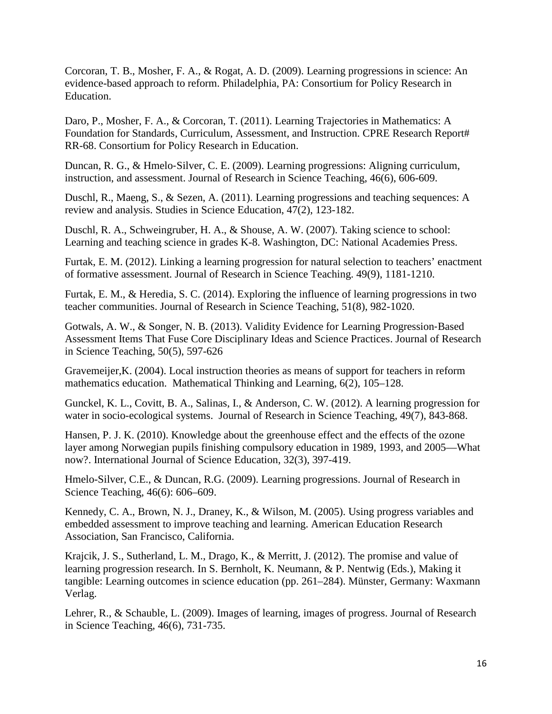Corcoran, T. B., Mosher, F. A., & Rogat, A. D. (2009). Learning progressions in science: An evidence-based approach to reform. Philadelphia, PA: Consortium for Policy Research in Education.

Daro, P., Mosher, F. A., & Corcoran, T. (2011). Learning Trajectories in Mathematics: A Foundation for Standards, Curriculum, Assessment, and Instruction. CPRE Research Report# RR-68. Consortium for Policy Research in Education.

Duncan, R. G., & Hmelo‐Silver, C. E. (2009). Learning progressions: Aligning curriculum, instruction, and assessment. Journal of Research in Science Teaching, 46(6), 606-609.

Duschl, R., Maeng, S., & Sezen, A. (2011). Learning progressions and teaching sequences: A review and analysis. Studies in Science Education, 47(2), 123-182.

Duschl, R. A., Schweingruber, H. A., & Shouse, A. W. (2007). Taking science to school: Learning and teaching science in grades K-8. Washington, DC: National Academies Press.

Furtak, E. M. (2012). Linking a learning progression for natural selection to teachers' enactment of formative assessment. Journal of Research in Science Teaching. 49(9), 1181-1210.

Furtak, E. M., & Heredia, S. C. (2014). Exploring the influence of learning progressions in two teacher communities. Journal of Research in Science Teaching, 51(8), 982-1020.

Gotwals, A. W., & Songer, N. B. (2013). Validity Evidence for Learning Progression‐Based Assessment Items That Fuse Core Disciplinary Ideas and Science Practices. Journal of Research in Science Teaching, 50(5), 597-626

Gravemeijer,K. (2004). Local instruction theories as means of support for teachers in reform mathematics education. Mathematical Thinking and Learning, 6(2), 105–128.

Gunckel, K. L., Covitt, B. A., Salinas, I., & Anderson, C. W. (2012). A learning progression for water in socio-ecological systems. Journal of Research in Science Teaching, 49(7), 843-868.

Hansen, P. J. K. (2010). Knowledge about the greenhouse effect and the effects of the ozone layer among Norwegian pupils finishing compulsory education in 1989, 1993, and 2005—What now?. International Journal of Science Education, 32(3), 397-419.

Hmelo-Silver, C.E., & Duncan, R.G. (2009). Learning progressions. Journal of Research in Science Teaching, 46(6): 606–609.

Kennedy, C. A., Brown, N. J., Draney, K., & Wilson, M. (2005). Using progress variables and embedded assessment to improve teaching and learning. American Education Research Association, San Francisco, California.

Krajcik, J. S., Sutherland, L. M., Drago, K., & Merritt, J. (2012). The promise and value of learning progression research. In S. Bernholt, K. Neumann, & P. Nentwig (Eds.), Making it tangible: Learning outcomes in science education (pp. 261–284). Münster, Germany: Waxmann Verlag.

Lehrer, R., & Schauble, L. (2009). Images of learning, images of progress. Journal of Research in Science Teaching, 46(6), 731-735.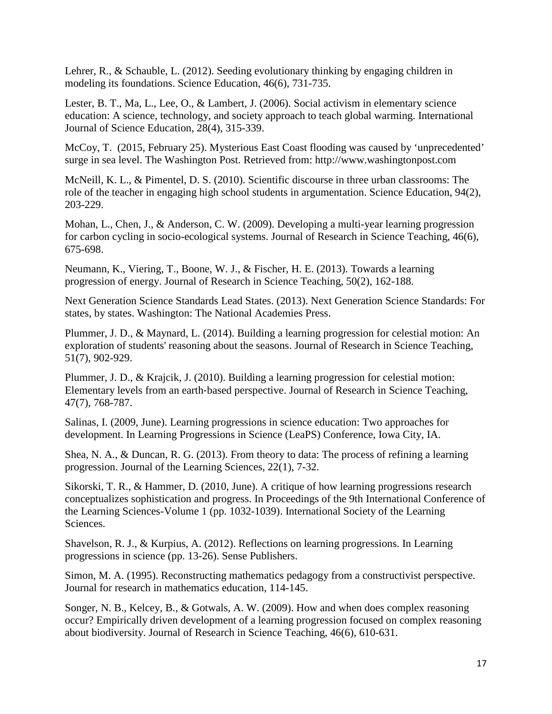Lehrer, R., & Schauble, L. (2012). Seeding evolutionary thinking by engaging children in modeling its foundations. Science Education, 46(6), 731-735.

Lester, B. T., Ma, L., Lee, O., & Lambert, J. (2006). Social activism in elementary science education: A science, technology, and society approach to teach global warming. International Journal of Science Education, 28(4), 315-339.

McCoy, T. (2015, February 25). Mysterious East Coast flooding was caused by 'unprecedented' surge in sea level. The Washington Post. Retrieved from: http://www.washingtonpost.com

McNeill, K. L., & Pimentel, D. S. (2010). Scientific discourse in three urban classrooms: The role of the teacher in engaging high school students in argumentation. Science Education, 94(2), 203-229.

Mohan, L., Chen, J., & Anderson, C. W. (2009). Developing a multi-year learning progression for carbon cycling in socio-ecological systems. Journal of Research in Science Teaching, 46(6), 675-698.

Neumann, K., Viering, T., Boone, W. J., & Fischer, H. E. (2013). Towards a learning progression of energy. Journal of Research in Science Teaching, 50(2), 162-188.

Next Generation Science Standards Lead States. (2013). Next Generation Science Standards: For states, by states. Washington: The National Academies Press.

Plummer, J. D., & Maynard, L. (2014). Building a learning progression for celestial motion: An exploration of students' reasoning about the seasons. Journal of Research in Science Teaching, 51(7), 902-929.

Plummer, J. D., & Krajcik, J. (2010). Building a learning progression for celestial motion: Elementary levels from an earth‐based perspective. Journal of Research in Science Teaching, 47(7), 768-787.

Salinas, I. (2009, June). Learning progressions in science education: Two approaches for development. In Learning Progressions in Science (LeaPS) Conference, Iowa City, IA.

Shea, N. A., & Duncan, R. G. (2013). From theory to data: The process of refining a learning progression. Journal of the Learning Sciences, 22(1), 7-32.

Sikorski, T. R., & Hammer, D. (2010, June). A critique of how learning progressions research conceptualizes sophistication and progress. In Proceedings of the 9th International Conference of the Learning Sciences-Volume 1 (pp. 1032-1039). International Society of the Learning Sciences.

Shavelson, R. J., & Kurpius, A. (2012). Reflections on learning progressions. In Learning progressions in science (pp. 13-26). Sense Publishers.

Simon, M. A. (1995). Reconstructing mathematics pedagogy from a constructivist perspective. Journal for research in mathematics education, 114-145.

Songer, N. B., Kelcey, B., & Gotwals, A. W. (2009). How and when does complex reasoning occur? Empirically driven development of a learning progression focused on complex reasoning about biodiversity. Journal of Research in Science Teaching, 46(6), 610-631.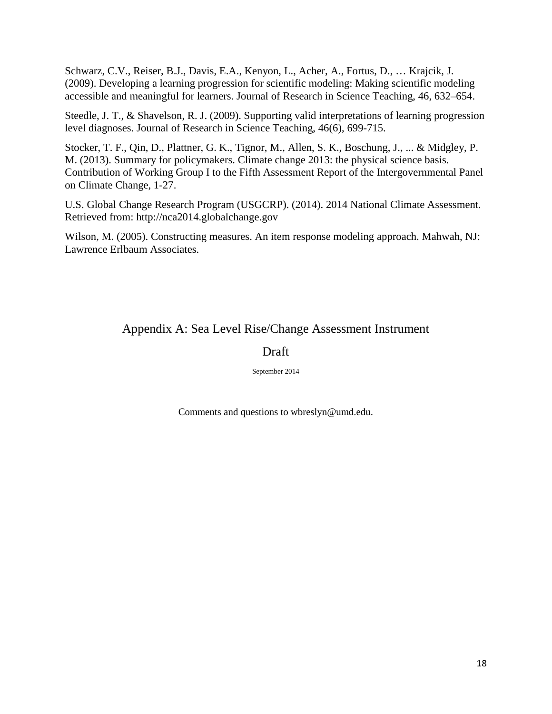Schwarz, C.V., Reiser, B.J., Davis, E.A., Kenyon, L., Acher, A., Fortus, D., … Krajcik, J. (2009). Developing a learning progression for scientific modeling: Making scientific modeling accessible and meaningful for learners. Journal of Research in Science Teaching, 46, 632–654.

Steedle, J. T., & Shavelson, R. J. (2009). Supporting valid interpretations of learning progression level diagnoses. Journal of Research in Science Teaching, 46(6), 699-715.

Stocker, T. F., Qin, D., Plattner, G. K., Tignor, M., Allen, S. K., Boschung, J., ... & Midgley, P. M. (2013). Summary for policymakers. Climate change 2013: the physical science basis. Contribution of Working Group I to the Fifth Assessment Report of the Intergovernmental Panel on Climate Change, 1-27.

U.S. Global Change Research Program (USGCRP). (2014). 2014 National Climate Assessment. Retrieved from: http://nca2014.globalchange.gov

Wilson, M. (2005). Constructing measures. An item response modeling approach. Mahwah, NJ: Lawrence Erlbaum Associates.

# Appendix A: Sea Level Rise/Change Assessment Instrument

# Draft

September 2014

Comments and questions to wbreslyn@umd.edu.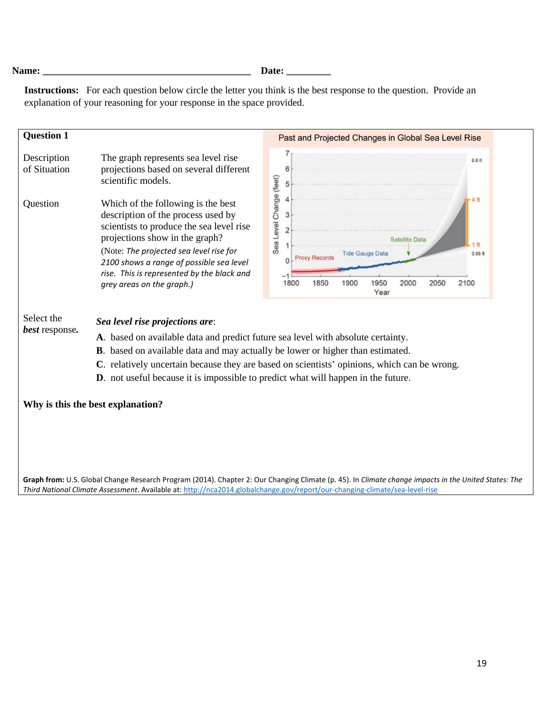**Name: \_\_\_\_\_\_\_\_\_\_\_\_\_\_\_\_\_\_\_\_\_\_\_\_\_\_\_\_\_\_\_\_\_\_\_\_\_\_\_\_\_\_ Date: \_\_\_\_\_\_\_\_\_** 

**Instructions:** For each question below circle the letter you think is the best response to the question.Provide an explanation of your reasoning for your response in the space provided.

| <b>Question 1</b>           |                                                                                                                                                                                                                                                                         | Past and Projected Changes in Global Sea Level Rise                                                           |
|-----------------------------|-------------------------------------------------------------------------------------------------------------------------------------------------------------------------------------------------------------------------------------------------------------------------|---------------------------------------------------------------------------------------------------------------|
| Description<br>of Situation | The graph represents sea level rise<br>projections based on several different<br>scientific models.                                                                                                                                                                     | 6.6 ft                                                                                                        |
| Question                    | Which of the following is the best<br>description of the process used by<br>scientists to produce the sea level rise<br>projections show in the graph?<br>(Note: The projected sea level rise for                                                                       | Sea Level Change (feet)<br>4代<br>3<br>1ft<br>$0.66$ ft<br><b>Tide Gauge Data</b><br><b>Proxy Records</b><br>O |
| Select the                  | 2100 shows a range of possible sea level<br>rise. This is represented by the black and<br>grey areas on the graph.)<br>Sea level rise projections are:                                                                                                                  | 2100<br>1900<br>1950<br>2000<br>2050<br>1800<br>1850<br>Year                                                  |
| <b>best</b> response.       | A. based on available data and predict future sea level with absolute certainty.<br><b>B</b> . based on available data and may actually be lower or higher than estimated.<br><b>D</b> . not useful because it is impossible to predict what will happen in the future. | C. relatively uncertain because they are based on scientists' opinions, which can be wrong.                   |
|                             |                                                                                                                                                                                                                                                                         |                                                                                                               |

**Graph from:** U.S. Global Change Research Program (2014). Chapter 2: Our Changing Climate (p. 45). In *Climate change impacts in the United States: The Third National Climate Assessment*. Available at:<http://nca2014.globalchange.gov/report/our-changing-climate/sea-level-rise>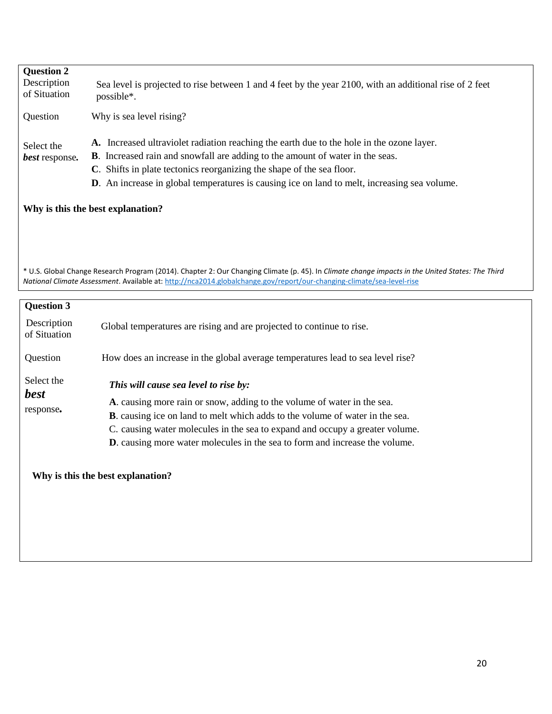| <b>Question 2</b><br>Description<br>of Situation                                                                                                                                                                                                                          | Sea level is projected to rise between 1 and 4 feet by the year 2100, with an additional rise of 2 feet<br>possible*.                                                                                                                                                                                                                                                                            |  |
|---------------------------------------------------------------------------------------------------------------------------------------------------------------------------------------------------------------------------------------------------------------------------|--------------------------------------------------------------------------------------------------------------------------------------------------------------------------------------------------------------------------------------------------------------------------------------------------------------------------------------------------------------------------------------------------|--|
| Question                                                                                                                                                                                                                                                                  | Why is sea level rising?                                                                                                                                                                                                                                                                                                                                                                         |  |
| Select the<br>best response.                                                                                                                                                                                                                                              | A. Increased ultraviolet radiation reaching the earth due to the hole in the ozone layer.<br><b>B</b> . Increased rain and snowfall are adding to the amount of water in the seas.<br>C. Shifts in plate tectonics reorganizing the shape of the sea floor.<br>D. An increase in global temperatures is causing ice on land to melt, increasing sea volume.<br>Why is this the best explanation? |  |
|                                                                                                                                                                                                                                                                           |                                                                                                                                                                                                                                                                                                                                                                                                  |  |
| * U.S. Global Change Research Program (2014). Chapter 2: Our Changing Climate (p. 45). In Climate change impacts in the United States: The Third<br>National Climate Assessment. Available at: http://nca2014.globalchange.gov/report/our-changing-climate/sea-level-rise |                                                                                                                                                                                                                                                                                                                                                                                                  |  |
| <b>Question 3</b>                                                                                                                                                                                                                                                         |                                                                                                                                                                                                                                                                                                                                                                                                  |  |
| Description<br>of Situation                                                                                                                                                                                                                                               | Global temperatures are rising and are projected to continue to rise.                                                                                                                                                                                                                                                                                                                            |  |
| Question                                                                                                                                                                                                                                                                  | How does an increase in the global average temperatures lead to sea level rise?                                                                                                                                                                                                                                                                                                                  |  |
| Select the<br><b>best</b>                                                                                                                                                                                                                                                 | This will cause sea level to rise by:                                                                                                                                                                                                                                                                                                                                                            |  |
|                                                                                                                                                                                                                                                                           | A. causing more rain or snow, adding to the volume of water in the sea.                                                                                                                                                                                                                                                                                                                          |  |
| response.                                                                                                                                                                                                                                                                 | B. causing ice on land to melt which adds to the volume of water in the sea.                                                                                                                                                                                                                                                                                                                     |  |
|                                                                                                                                                                                                                                                                           | C. causing water molecules in the sea to expand and occupy a greater volume.                                                                                                                                                                                                                                                                                                                     |  |
|                                                                                                                                                                                                                                                                           | <b>D</b> . causing more water molecules in the sea to form and increase the volume.                                                                                                                                                                                                                                                                                                              |  |
|                                                                                                                                                                                                                                                                           | Why is this the best explanation?                                                                                                                                                                                                                                                                                                                                                                |  |
|                                                                                                                                                                                                                                                                           |                                                                                                                                                                                                                                                                                                                                                                                                  |  |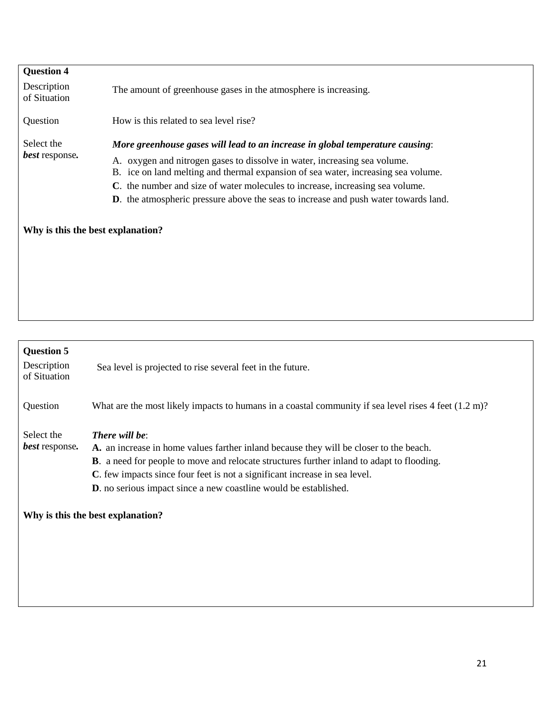| <b>Question 4</b>                 |                                                                                             |  |
|-----------------------------------|---------------------------------------------------------------------------------------------|--|
| Description<br>of Situation       | The amount of greenhouse gases in the atmosphere is increasing.                             |  |
| Question                          | How is this related to sea level rise?                                                      |  |
| Select the                        | More greenhouse gases will lead to an increase in global temperature causing:               |  |
| <b>best</b> response.             | oxygen and nitrogen gases to dissolve in water, increasing sea volume.<br>А.                |  |
|                                   | B. ice on land melting and thermal expansion of sea water, increasing sea volume.           |  |
|                                   | C. the number and size of water molecules to increase, increasing sea volume.               |  |
|                                   | <b>D</b> . the atmospheric pressure above the seas to increase and push water towards land. |  |
|                                   |                                                                                             |  |
| Why is this the best explanation? |                                                                                             |  |
|                                   |                                                                                             |  |
|                                   |                                                                                             |  |

| <b>Question 5</b><br>Description<br>of Situation | Sea level is projected to rise several feet in the future.                                                                                                                                                                                                                                                                                                                                                          |
|--------------------------------------------------|---------------------------------------------------------------------------------------------------------------------------------------------------------------------------------------------------------------------------------------------------------------------------------------------------------------------------------------------------------------------------------------------------------------------|
| Question                                         | What are the most likely impacts to humans in a coastal community if sea level rises $4 \text{ feet } (1.2 \text{ m})$ ?                                                                                                                                                                                                                                                                                            |
| Select the<br><b>best</b> response.              | <b>There will be:</b><br>A. an increase in home values farther inland because they will be closer to the beach.<br><b>B</b> . a need for people to move and relocate structures further inland to adapt to flooding.<br>C. few impacts since four feet is not a significant increase in sea level.<br><b>D</b> . no serious impact since a new coastline would be established.<br>Why is this the best explanation? |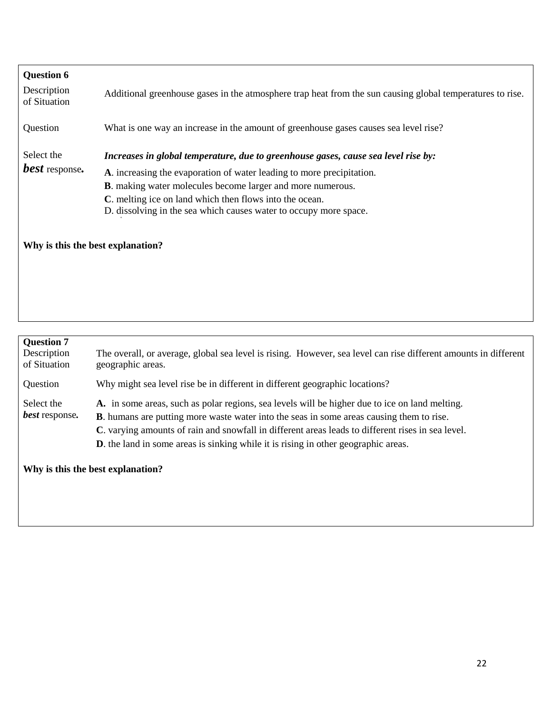| <b>Question 6</b><br>Description<br>of Situation | Additional greenhouse gases in the atmosphere trap heat from the sun causing global temperatures to rise.                                                                                                                                                                                                                                                         |
|--------------------------------------------------|-------------------------------------------------------------------------------------------------------------------------------------------------------------------------------------------------------------------------------------------------------------------------------------------------------------------------------------------------------------------|
| Question                                         | What is one way an increase in the amount of greenhouse gases causes sea level rise?                                                                                                                                                                                                                                                                              |
| Select the<br><b>best</b> response.              | Increases in global temperature, due to greenhouse gases, cause sea level rise by:<br>A. increasing the evaporation of water leading to more precipitation.<br><b>B</b> . making water molecules become larger and more numerous.<br>C. melting ice on land which then flows into the ocean.<br>D. dissolving in the sea which causes water to occupy more space. |
| Why is this the best explanation?                |                                                                                                                                                                                                                                                                                                                                                                   |

| <b>Question 7</b><br>Description<br>of Situation | The overall, or average, global sea level is rising. However, sea level can rise different amounts in different<br>geographic areas.                                                                                                                                                                                                                                                                  |
|--------------------------------------------------|-------------------------------------------------------------------------------------------------------------------------------------------------------------------------------------------------------------------------------------------------------------------------------------------------------------------------------------------------------------------------------------------------------|
| Question                                         | Why might sea level rise be in different in different geographic locations?                                                                                                                                                                                                                                                                                                                           |
| Select the<br><b>best</b> response.              | A. in some areas, such as polar regions, sea levels will be higher due to ice on land melting.<br><b>B</b> . humans are putting more waste water into the seas in some areas causing them to rise.<br>C. varying amounts of rain and snowfall in different areas leads to different rises in sea level.<br><b>D</b> . the land in some areas is sinking while it is rising in other geographic areas. |

**Why is this the best explanation?**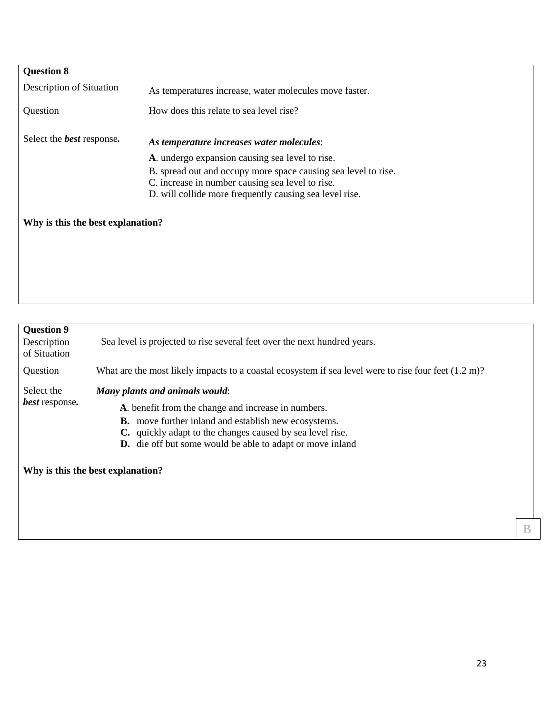| <b>Question 8</b>                 |                                                                |
|-----------------------------------|----------------------------------------------------------------|
| Description of Situation          | As temperatures increase, water molecules move faster.         |
| Question                          | How does this relate to sea level rise?                        |
| Select the <b>best</b> response.  | As temperature increases water molecules:                      |
|                                   | A. undergo expansion causing sea level to rise.                |
|                                   | B. spread out and occupy more space causing sea level to rise. |
|                                   | C. increase in number causing sea level to rise.               |
|                                   | D. will collide more frequently causing sea level rise.        |
| Why is this the best explanation? |                                                                |
|                                   |                                                                |

| <b>Question 9</b><br>Description<br>of Situation | Sea level is projected to rise several feet over the next hundred years.                                                                                                                                                                                                                                                   |
|--------------------------------------------------|----------------------------------------------------------------------------------------------------------------------------------------------------------------------------------------------------------------------------------------------------------------------------------------------------------------------------|
| Question                                         | What are the most likely impacts to a coastal ecosystem if sea level were to rise four feet $(1.2 \text{ m})$ ?                                                                                                                                                                                                            |
| Select the<br><b>best</b> response.              | Many plants and animals would:<br>A. benefit from the change and increase in numbers.<br><b>B.</b> move further inland and establish new ecosystems.<br>C. quickly adapt to the changes caused by sea level rise.<br><b>D.</b> die off but some would be able to adapt or move inland<br>Why is this the best explanation? |

**B**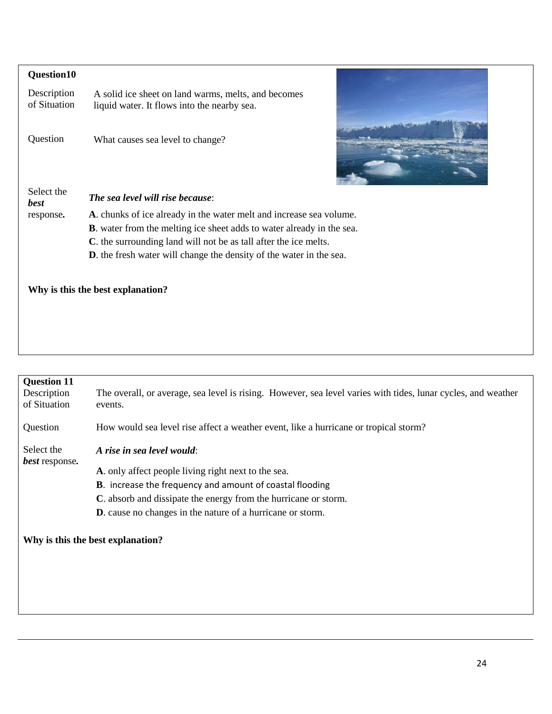| Question10                  |                                                                                                                                                                                                                                                                                                         |
|-----------------------------|---------------------------------------------------------------------------------------------------------------------------------------------------------------------------------------------------------------------------------------------------------------------------------------------------------|
| Description<br>of Situation | A solid ice sheet on land warms, melts, and becomes<br>liquid water. It flows into the nearby sea.                                                                                                                                                                                                      |
| Question                    | What causes sea level to change?                                                                                                                                                                                                                                                                        |
| Select the<br><b>best</b>   | <b>The sea level will rise because:</b>                                                                                                                                                                                                                                                                 |
| response.                   | A. chunks of ice already in the water melt and increase sea volume.<br><b>B</b> . water from the melting ice sheet adds to water already in the sea.<br>C. the surrounding land will not be as tall after the ice melts.<br><b>D</b> . the fresh water will change the density of the water in the sea. |
|                             | Why is this the best explanation?                                                                                                                                                                                                                                                                       |

| <b>Question 11</b><br>Description<br>of Situation | The overall, or average, sea level is rising. However, sea level varies with tides, lunar cycles, and weather<br>events.                                                                                                |
|---------------------------------------------------|-------------------------------------------------------------------------------------------------------------------------------------------------------------------------------------------------------------------------|
| Question                                          | How would sea level rise affect a weather event, like a hurricane or tropical storm?                                                                                                                                    |
| Select the<br>best response.                      | A rise in sea level would:<br>A. only affect people living right next to the sea.<br><b>B.</b> increase the frequency and amount of coastal flooding<br>C. absorb and dissipate the energy from the hurricane or storm. |
|                                                   | <b>D</b> . cause no changes in the nature of a hurricane or storm.<br>Why is this the best explanation?                                                                                                                 |

**PARADI**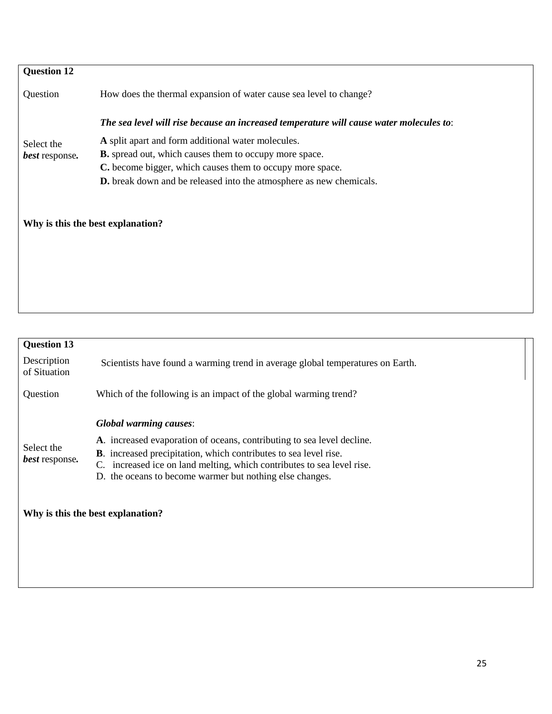| <b>Question 12</b>           |                                                                                         |
|------------------------------|-----------------------------------------------------------------------------------------|
| Question                     | How does the thermal expansion of water cause sea level to change?                      |
|                              | The sea level will rise because an increased temperature will cause water molecules to: |
| Select the<br>best response. | A split apart and form additional water molecules.                                      |
|                              | <b>B.</b> spread out, which causes them to occupy more space.                           |
|                              | C. become bigger, which causes them to occupy more space.                               |
|                              | <b>D.</b> break down and be released into the atmosphere as new chemicals.              |
|                              |                                                                                         |
|                              | Why is this the best explanation?                                                       |
|                              |                                                                                         |
|                              |                                                                                         |
|                              |                                                                                         |

| <b>Question 13</b>                  |                                                                                                                                                                                                                                                                                                                              |  |  |  |
|-------------------------------------|------------------------------------------------------------------------------------------------------------------------------------------------------------------------------------------------------------------------------------------------------------------------------------------------------------------------------|--|--|--|
| Description<br>of Situation         | Scientists have found a warming trend in average global temperatures on Earth.                                                                                                                                                                                                                                               |  |  |  |
| Question                            | Which of the following is an impact of the global warming trend?                                                                                                                                                                                                                                                             |  |  |  |
| Select the<br><i>best</i> response. | <b>Global warming causes:</b><br>A. increased evaporation of oceans, contributing to sea level decline.<br><b>B</b> . increased precipitation, which contributes to sea level rise.<br>increased ice on land melting, which contributes to sea level rise.<br>C.<br>D. the oceans to become warmer but nothing else changes. |  |  |  |
|                                     | Why is this the best explanation?                                                                                                                                                                                                                                                                                            |  |  |  |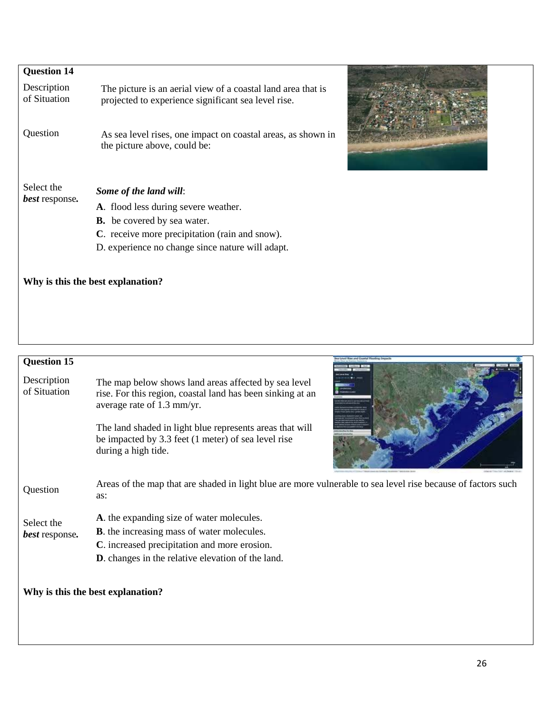| <b>Question 14</b>                  |                                                                                                                                                                                                            |
|-------------------------------------|------------------------------------------------------------------------------------------------------------------------------------------------------------------------------------------------------------|
| Description<br>of Situation         | The picture is an aerial view of a coastal land area that is<br>projected to experience significant sea level rise.                                                                                        |
| Question                            | As sea level rises, one impact on coastal areas, as shown in<br>the picture above, could be:                                                                                                               |
| Select the<br><i>best</i> response. | Some of the land will:<br>A. flood less during severe weather.<br><b>B.</b> be covered by sea water.<br>C. receive more precipitation (rain and snow).<br>D. experience no change since nature will adapt. |

# **Why is this the best explanation?**



| <b>Question 15</b><br>Description<br>of Situation | The map below shows land areas affected by sea level<br>rise. For this region, coastal land has been sinking at an<br>average rate of 1.3 mm/yr.<br>The land shaded in light blue represents areas that will<br>be impacted by 3.3 feet (1 meter) of sea level rise<br>during a high tide. |
|---------------------------------------------------|--------------------------------------------------------------------------------------------------------------------------------------------------------------------------------------------------------------------------------------------------------------------------------------------|
| Question                                          | Areas of the map that are shaded in light blue are more vulnerable to sea level rise because of factors such<br>as:                                                                                                                                                                        |
| Select the<br>best response.                      | A. the expanding size of water molecules.<br><b>B</b> . the increasing mass of water molecules.<br>C. increased precipitation and more erosion.<br><b>D</b> . changes in the relative elevation of the land.                                                                               |
|                                                   | Why is this the best explanation?                                                                                                                                                                                                                                                          |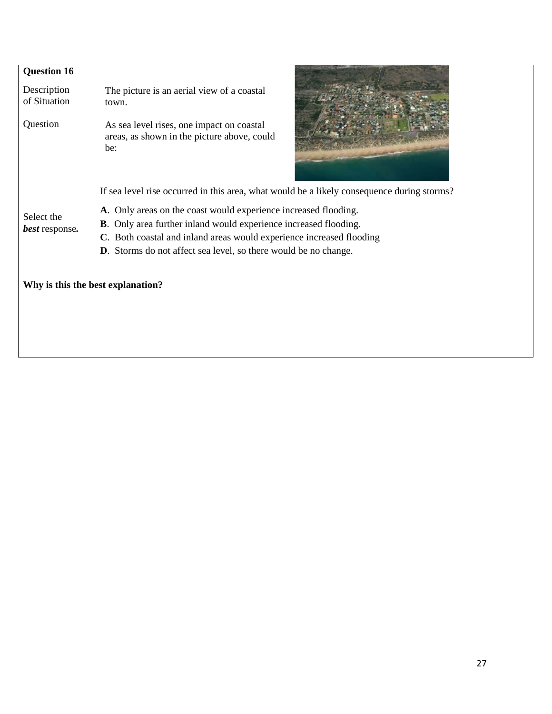| <b>Question 16</b>          |                                                                                                 |  |  |  |  |
|-----------------------------|-------------------------------------------------------------------------------------------------|--|--|--|--|
| Description<br>of Situation | The picture is an aerial view of a coastal<br>town.                                             |  |  |  |  |
| Question                    | As sea level rises, one impact on coastal<br>areas, as shown in the picture above, could<br>be: |  |  |  |  |
|                             | If sea level rise occurred in this area, what would be a likely consequence during storms?      |  |  |  |  |
| Select the                  | A. Only areas on the coast would experience increased flooding.                                 |  |  |  |  |
| best response.              | <b>B</b> . Only area further inland would experience increased flooding.                        |  |  |  |  |
|                             | C. Both coastal and inland areas would experience increased flooding                            |  |  |  |  |
|                             | <b>D</b> . Storms do not affect sea level, so there would be no change.                         |  |  |  |  |
|                             |                                                                                                 |  |  |  |  |
|                             | Why is this the best explanation?                                                               |  |  |  |  |
|                             |                                                                                                 |  |  |  |  |
|                             |                                                                                                 |  |  |  |  |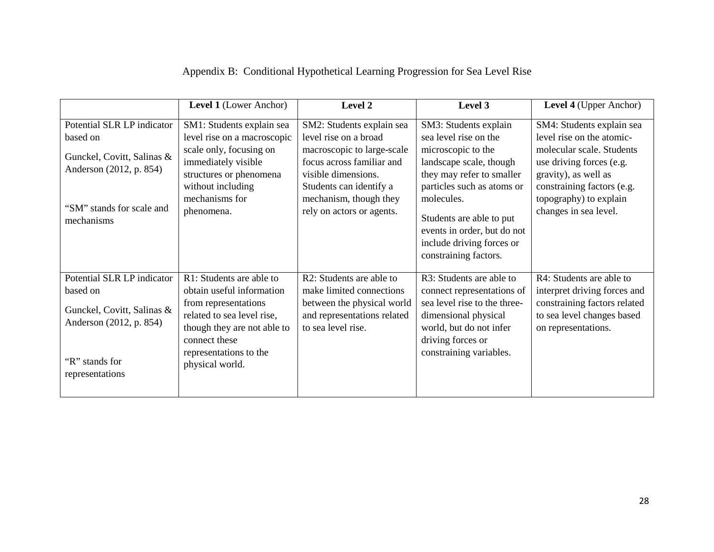|  | Appendix B: Conditional Hypothetical Learning Progression for Sea Level Rise |  |  |
|--|------------------------------------------------------------------------------|--|--|
|--|------------------------------------------------------------------------------|--|--|

|                                                                                                                                            | Level 1 (Lower Anchor)                                                                                                                                                                                   | Level 2                                                                                                                                                                                                                | Level 3                                                                                                                                                                                                                                                                                   | <b>Level 4</b> (Upper Anchor)                                                                                                                                                                                            |
|--------------------------------------------------------------------------------------------------------------------------------------------|----------------------------------------------------------------------------------------------------------------------------------------------------------------------------------------------------------|------------------------------------------------------------------------------------------------------------------------------------------------------------------------------------------------------------------------|-------------------------------------------------------------------------------------------------------------------------------------------------------------------------------------------------------------------------------------------------------------------------------------------|--------------------------------------------------------------------------------------------------------------------------------------------------------------------------------------------------------------------------|
| Potential SLR LP indicator<br>based on<br>Gunckel, Covitt, Salinas &<br>Anderson (2012, p. 854)<br>"SM" stands for scale and<br>mechanisms | SM1: Students explain sea<br>level rise on a macroscopic<br>scale only, focusing on<br>immediately visible<br>structures or phenomena<br>without including<br>mechanisms for<br>phenomena.               | SM2: Students explain sea<br>level rise on a broad<br>macroscopic to large-scale<br>focus across familiar and<br>visible dimensions.<br>Students can identify a<br>mechanism, though they<br>rely on actors or agents. | SM3: Students explain<br>sea level rise on the<br>microscopic to the<br>landscape scale, though<br>they may refer to smaller<br>particles such as atoms or<br>molecules.<br>Students are able to put<br>events in order, but do not<br>include driving forces or<br>constraining factors. | SM4: Students explain sea<br>level rise on the atomic-<br>molecular scale. Students<br>use driving forces (e.g.<br>gravity), as well as<br>constraining factors (e.g.<br>topography) to explain<br>changes in sea level. |
| Potential SLR LP indicator<br>based on<br>Gunckel, Covitt, Salinas &<br>Anderson (2012, p. 854)<br>"R" stands for<br>representations       | R1: Students are able to<br>obtain useful information<br>from representations<br>related to sea level rise,<br>though they are not able to<br>connect these<br>representations to the<br>physical world. | R2: Students are able to<br>make limited connections<br>between the physical world<br>and representations related<br>to sea level rise.                                                                                | R3: Students are able to<br>connect representations of<br>sea level rise to the three-<br>dimensional physical<br>world, but do not infer<br>driving forces or<br>constraining variables.                                                                                                 | R4: Students are able to<br>interpret driving forces and<br>constraining factors related<br>to sea level changes based<br>on representations.                                                                            |